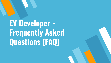# **EV Developer - Frequently Asked Questions (FAQ)**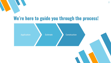## **We're here to guide you through the process!**

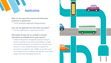## **Application**

What are the required documents and information **• See [EV Customer Application Requirements](https://www.pge.com/includes/docs/pdfs/about/environment/pge/electricvehicles/ev5pt3.pdf)** 

Can I use one application for more than one project?<br>• No. One application is required per project.

What public-facing tools are available to provide information on available electric grid capacity? • PG&E developed the Integrated Capacity Analysis

(ICA) to identify circuit electrical loading for a highlevel understanding of circuit loads in a specific area; however, a more detailed analysis is required to proceed at a respective site. PG&E can provide a preassessment service to identify site options at an earlier stage in the site development process.

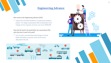## **Engineering Advance**

#### How much is the Engineering Advance (EA)?

• Typical EA is \$2,500-\$5,000 for an individual standard project. For larger load projects like transmission level voltage service requests, invoices can rise to \$500,000

Does the EA need to be paid before pre-assessment (PA) and why does it need to be paid?

• Yes. If a job is canceled after final design is issued, PG&E will deduct a portion of the EA for hours allocated to the job.



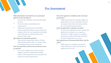### **Pre-Assessment**

#### What information is provided in a pre-assessment (PA) for EV site developers?

- Trench route schematic and connection point in street.
- Protective devices and substructure requirements.
- Delineation of betterment work (PG&E's expense) and New Business scope (customer's expense). Note: No cost estimates are included as this will only be calculated with a full estimate (later step).

#### How long is my assessment good for?

• Assessments are generally valid for 90 days following the delivery date to a customer due to changing electric system conditions Does the assessment confirm if an easement or lease

#### is required?

• No, it's just a high-level overview of what might be required. Radial feed will likely require a lease agreement and a loop feed will require an easement agreement.

How much capacity is available on the circuit and transformer?

• PG&E request that the customer submits an application for service and PG&E will do an assessment where this information will be part of the information provided.

#### Is this an option that a customer can select?

• No. Once the assigned job owner contacts the applicant, the customer can request an assessment. PG&E's target is to complete assessments within 28 calendar days from the date of application for service.

How long does pre-assessment take before I get the result?

• PG&E's goal is to complete assessments within 28 business days from the date of application for service.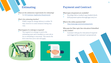### **Estimating**

What are the submission requirements for estimating? • See [EV Customer Application Requirement](https://www.pge.com/includes/docs/pdfs/about/environment/pge/electricvehicles/ev5pt3.pdf)

#### What's the estimating timeline?

• PG&E's target for design delivery is within 70 days, however in some instances timing may vary.

#### What happens if a redesign is required?

The request to re-design is sent to the estimating team and is handled as a new job as far as scheduling is concerned. This means the first come first serve rule will apply.

## **Payment and Contract**

#### What types of payment are available?

- DocuSign link or mailed copy/mailed check.
- ACH payment option through [pge.com/cco](http://pge.com/cco)

#### What is the online payment link?

• <http://www.pge.com/contractpayments>

Who pays for Fiber optic line relocation if identified in the conduit?

• Customer will pay for relocation if required and triggered by customer's proposed job.



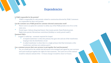## **Dependencies**

7

Is PG&E responsible for the permits?

• PG&E is responsible for only permits related to construction directed by PG&E. Customers are responsible for their own permits

Can the customer use a PG&E permit for customer-directed construction work?

- There's never an option for customer to utilize any of the PG&E permits even if it is in the same area.
- Permit types: Caltrans (long lead times), City/county permit, State/Federal permit, Night/noise permit, Moratorium restrictions (holidays or newly paved roads?).

#### Easement FAQ's:

- Looped vs radial tap easement required for looped
	- A looped transformer is when the primary line goes into and out of the transformer, looping it into the distribution circuit
	- A radial transformer is when there is a single primary feed that terminates at the transformer and does not continue past it

Can a customer procure their own surveyor to put together the Land documents?

• Yes, we would ask for the exhibit and document to be stamped and signed by your surveyor and Land would put together the rights for that easement. The Land cost on the contract would be reduced, instead of the ~14 hours charge it would be closer to 4 hours.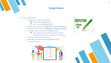## **Inspections**

Types of Inspections

- $\bigcirc$  Trench specs Links to Greenbook
	- PG&E Only: GB Section 3.3.4<br>• Joint Trench: <u>[GB Section 3.3.8](https://www.pge.com/pge_global/common/pdfs/services/building-and-renovation/greenbook-manual-online/greenbook_manual_full.pdf#page=123)</u>
	-
- O Pad specs and clearances [\(Appendix C, document 045292](https://www.pge.com/pge_global/common/pdfs/services/building-and-renovation/greenbook-manual-online/045292.pdf))
- O Yault clearances and specs [\(Appendix C, document 051122](https://www.pge.com/pge_global/common/pdfs/services/building-and-renovation/greenbook-manual-online/051122.pdf))
- Vault clearances and specs <u>(Appendix C, docum</u>
	- All switchgears rated 400A and above must be approved by local meter shop prior to installation
- 
- order by focal metership prior to m<br>
O Cross-bore process (details below)<br>
O Switchgear and labeling specs <u>(GB Section 5.5.1</u>)
- $\overline{O}$  Switchgear and laborely Landscaping specs



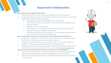## **Inspections Continuation**

- -
- What needs to be inspected? By whom? When?<br>
PG&E trench, PG&E cross bore, PG&E mandrel, PG&E final, city/county green tag<br>
To request an inspection, contact the local inspection desk based on the location of your project<br>
	- -
		- *depth and sand base.*
		-
		- *Switchgear and clearances around it. The final inspection is the mandrel inspection where a mandrel is run through all installed conduits after backfilling and compaction*
		- *City electrical final (also called a "Green Tag") – city or governing municipal needs to inspect panel and issue electric final inspection tag.*

Who is responsible for ordering a Cross Bore (sewer camera) inspection? Who performs it?<br>Customers are responsible for ordering a sewer camera inspection. Use the Customer Cross

- Bore Flow Chart to decide if you need a sewer camera inspection.
- Customers may utilize any sewer camera vendor they desire to have a sewer inspection completed. The customer would be responsible for contracting this out.
- PG&E can provide a list of the current contractors in the inspection program if one cannot be identified. For resources, documents, or contractor lists, contact [pgecrossbore@pge.com](mailto:pgecrossbore@pge.com)

- How do I proceed with construction if I cannot get a cleared sewer camera inspection?<br>If your sewer camera inspection comes back as not clear, you will need to open trench the utility; inspection logs will indicate that the installation method was open trench
- The Cross Bore inspection logs will then be completed indicating the method of installation was open trench.